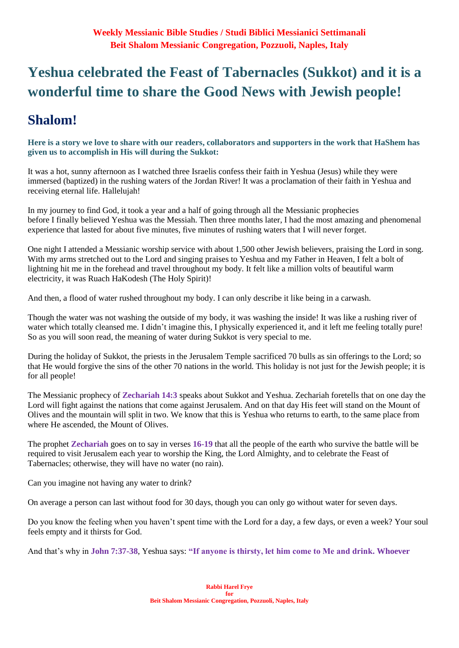# **Yeshua celebrated the Feast of Tabernacles (Sukkot) and it is a wonderful time to share the Good News with Jewish people!**

# **Shalom!**

**Here is a story we love to share with our readers, collaborators and supporters in the work that HaShem has given us to accomplish in His will during the Sukkot:**

It was a hot, sunny afternoon as I watched three Israelis confess their faith in Yeshua (Jesus) while they were immersed (baptized) in the rushing waters of the Jordan River! It was a proclamation of their faith in Yeshua and receiving eternal life. Hallelujah!

In my journey to find God, it took a year and a half of going through all the Messianic prophecies before I finally believed Yeshua was the Messiah. Then three months later, I had the most amazing and phenomenal experience that lasted for about five minutes, five minutes of rushing waters that I will never forget.

One night I attended a Messianic worship service with about 1,500 other Jewish believers, praising the Lord in song. With my arms stretched out to the Lord and singing praises to Yeshua and my Father in Heaven, I felt a bolt of lightning hit me in the forehead and travel throughout my body. It felt like a million volts of beautiful warm electricity, it was Ruach HaKodesh (The Holy Spirit)!

And then, a flood of water rushed throughout my body. I can only describe it like being in a carwash.

Though the water was not washing the outside of my body, it was washing the inside! It was like a rushing river of water which totally cleansed me. I didn't imagine this, I physically experienced it, and it left me feeling totally pure! So as you will soon read, the meaning of water during Sukkot is very special to me.

During the holiday of Sukkot, the priests in the Jerusalem Temple sacrificed 70 bulls as sin offerings to the Lord; so that He would forgive the sins of the other 70 nations in the world. This holiday is not just for the Jewish people; it is for all people!

The Messianic prophecy of **Zechariah 14:3** speaks about Sukkot and Yeshua. Zechariah foretells that on one day the Lord will fight against the nations that come against Jerusalem. And on that day His feet will stand on the Mount of Olives and the mountain will split in two. We know that this is Yeshua who returns to earth, to the same place from where He ascended, the Mount of Olives.

The prophet **Zechariah** goes on to say in verses **16-19** that all the people of the earth who survive the battle will be required to visit Jerusalem each year to worship the King, the Lord Almighty, and to celebrate the Feast of Tabernacles; otherwise, they will have no water (no rain).

Can you imagine not having any water to drink?

On average a person can last without food for 30 days, though you can only go without water for seven days.

Do you know the feeling when you haven't spent time with the Lord for a day, a few days, or even a week? Your soul feels empty and it thirsts for God.

And that's why in **John 7:37-38**, Yeshua says: **"If anyone is thirsty, let him come to Me and drink. Whoever**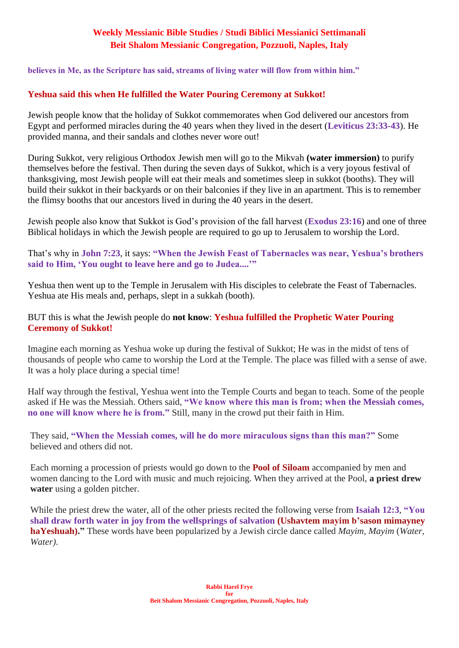**believes in Me, as the Scripture has said, streams of living water will flow from within him."**

### **Yeshua said this when He fulfilled the Water Pouring Ceremony at Sukkot!**

Jewish people know that the holiday of Sukkot commemorates when God delivered our ancestors from Egypt and performed miracles during the 40 years when they lived in the desert (**Leviticus 23:33-43**). He provided manna, and their sandals and clothes never wore out!

During Sukkot, very religious Orthodox Jewish men will go to the Mikvah **(water immersion)** to purify themselves before the festival. Then during the seven days of Sukkot, which is a very joyous festival of thanksgiving, most Jewish people will eat their meals and sometimes sleep in sukkot (booths). They will build their sukkot in their backyards or on their balconies if they live in an apartment. This is to remember the flimsy booths that our ancestors lived in during the 40 years in the desert.

Jewish people also know that Sukkot is God's provision of the fall harvest (**Exodus 23:16**) and one of three Biblical holidays in which the Jewish people are required to go up to Jerusalem to worship the Lord.

That's why in **John 7:23**, it says: **"When the Jewish Feast of Tabernacles was near, Yeshua's brothers said to Him, 'You ought to leave here and go to Judea....'"**

Yeshua then went up to the Temple in Jerusalem with His disciples to celebrate the Feast of Tabernacles. Yeshua ate His meals and, perhaps, slept in a sukkah (booth).

### BUT this is what the Jewish people do **not know**: **Yeshua fulfilled the Prophetic Water Pouring Ceremony of Sukkot!**

Imagine each morning as Yeshua woke up during the festival of Sukkot; He was in the midst of tens of thousands of people who came to worship the Lord at the Temple. The place was filled with a sense of awe. It was a holy place during a special time!

Half way through the festival, Yeshua went into the Temple Courts and began to teach. Some of the people asked if He was the Messiah. Others said, **"We know where this man is from; when the Messiah comes, no one will know where he is from."** Still, many in the crowd put their faith in Him.

They said, **"When the Messiah comes, will he do more miraculous signs than this man?"** Some believed and others did not.

Each morning a procession of priests would go down to the **Pool of Siloam** accompanied by men and women dancing to the Lord with music and much rejoicing. When they arrived at the Pool, **a priest drew water** using a golden pitcher.

While the priest drew the water, all of the other priests recited the following verse from **Isaiah 12:3**, **"You shall draw forth water in joy from the wellsprings of salvation (Ushavtem mayim b'sason mimayney haYeshuah)."** These words have been popularized by a Jewish circle dance called *Mayim, Mayim* (*Water, Water)*.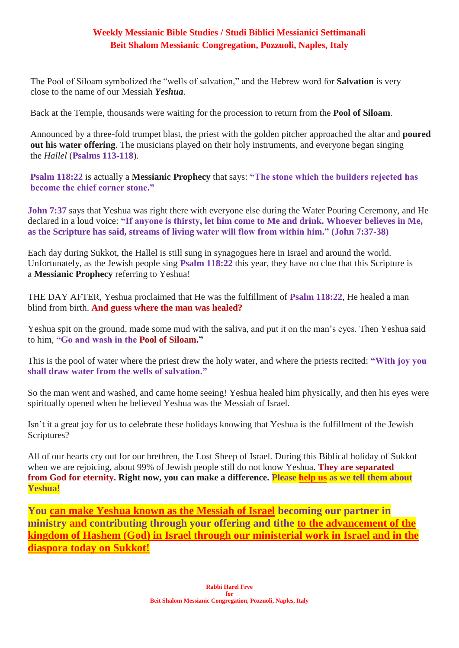The Pool of Siloam symbolized the "wells of salvation," and the Hebrew word for **Salvation** is very close to the name of our Messiah *Yeshua*.

Back at the Temple, thousands were waiting for the procession to return from the **Pool of Siloam**.

Announced by a three-fold trumpet blast, the priest with the golden pitcher approached the altar and **poured out his water offering**. The musicians played on their holy instruments, and everyone began singing the *Hallel* (**Psalms 113-118**).

**Psalm 118:22** is actually a **Messianic Prophecy** that says: **"The stone which the builders rejected has become the chief corner stone."**

**John 7:37** says that Yeshua was right there with everyone else during the Water Pouring Ceremony, and He declared in a loud voice: **"If anyone is thirsty, let him come to Me and drink. Whoever believes in Me, as the Scripture has said, streams of living water will flow from within him." (John 7:37-38)**

Each day during Sukkot, the Hallel is still sung in synagogues here in Israel and around the world. Unfortunately, as the Jewish people sing **Psalm 118:22** this year, they have no clue that this Scripture is a **Messianic Prophecy** referring to Yeshua!

THE DAY AFTER, Yeshua proclaimed that He was the fulfillment of **Psalm 118:22**, He healed a man blind from birth. **And guess where the man was healed?**

Yeshua spit on the ground, made some mud with the saliva, and put it on the man's eyes. Then Yeshua said to him, **"Go and wash in the Pool of Siloam."**

This is the pool of water where the priest drew the holy water, and where the priests recited: **"With joy you shall draw water from the wells of salvation."**

So the man went and washed, and came home seeing! Yeshua healed him physically, and then his eyes were spiritually opened when he believed Yeshua was the Messiah of Israel.

Isn't it a great joy for us to celebrate these holidays knowing that Yeshua is the fulfillment of the Jewish Scriptures?

All of our hearts cry out for our brethren, the Lost Sheep of Israel. During this Biblical holiday of Sukkot when we are rejoicing, about 99% of Jewish people still do not know Yeshua. **They are separated from God for eternity. Right now, you can make a difference. Please [help us](https://villageofhopejusticeministry.org/) as we tell them about Yeshua!**

**You [can make Yeshua known as the Messiah of Israel](https://villageofhopejusticeministry.org/) becoming our partner in ministry and contributing through your offering and tithe [to the advancement](https://villageofhopejusticeministry.org/) of the [kingdom of Hashem \(God\) in Israel through our](https://villageofhopejusticeministry.org/) ministerial work in Israel and in the [diaspora today on Sukkot!](https://villageofhopejusticeministry.org/)**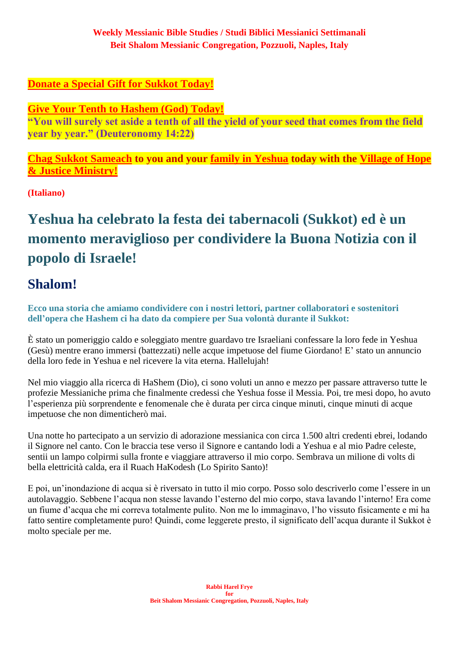### **[Donate a Special Gift for Sukkot](https://villageofhopejusticeministry.org/) Today!**

**[Give Your Tenth to Hashem \(God\) Today!](https://villageofhopejusticeministry.org/)**

**"You will surely set aside a tenth of all the yield of your seed that comes from the field year by year." (Deuteronomy 14:22)**

**[Chag Sukkot Sameach](https://villageofhopejusticeministry.org/) to you and your [family in Yeshua](https://villageofhopejusticeministry.org/) today with the [Village of Hope](https://villageofhopejusticeministry.org/)  & Justice [Ministry!](https://villageofhopejusticeministry.org/)**

**(Italiano)**

# **Yeshua ha celebrato la festa dei tabernacoli (Sukkot) ed è un momento meraviglioso per condividere la Buona Notizia con il popolo di Israele!**

# **Shalom!**

**Ecco una storia che amiamo condividere con i nostri lettori, partner collaboratori e sostenitori dell'opera che Hashem ci ha dato da compiere per Sua volontà durante il Sukkot:**

È stato un pomeriggio caldo e soleggiato mentre guardavo tre Israeliani confessare la loro fede in Yeshua (Gesù) mentre erano immersi (battezzati) nelle acque impetuose del fiume Giordano! E' stato un annuncio della loro fede in Yeshua e nel ricevere la vita eterna. Hallelujah!

Nel mio viaggio alla ricerca di HaShem (Dio), ci sono voluti un anno e mezzo per passare attraverso tutte le profezie Messianiche prima che finalmente credessi che Yeshua fosse il Messia. Poi, tre mesi dopo, ho avuto l'esperienza più sorprendente e fenomenale che è durata per circa cinque minuti, cinque minuti di acque impetuose che non dimenticherò mai.

Una notte ho partecipato a un servizio di adorazione messianica con circa 1.500 altri credenti ebrei, lodando il Signore nel canto. Con le braccia tese verso il Signore e cantando lodi a Yeshua e al mio Padre celeste, sentii un lampo colpirmi sulla fronte e viaggiare attraverso il mio corpo. Sembrava un milione di volts di bella elettricità calda, era il Ruach HaKodesh (Lo Spirito Santo)!

E poi, un'inondazione di acqua si è riversato in tutto il mio corpo. Posso solo descriverlo come l'essere in un autolavaggio. Sebbene l'acqua non stesse lavando l'esterno del mio corpo, stava lavando l'interno! Era come un fiume d'acqua che mi correva totalmente pulito. Non me lo immaginavo, l'ho vissuto fisicamente e mi ha fatto sentire completamente puro! Quindi, come leggerete presto, il significato dell'acqua durante il Sukkot è molto speciale per me.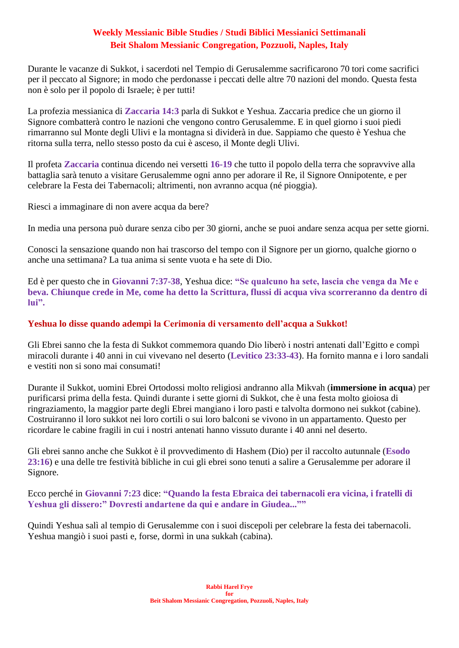Durante le vacanze di Sukkot, i sacerdoti nel Tempio di Gerusalemme sacrificarono 70 tori come sacrifici per il peccato al Signore; in modo che perdonasse i peccati delle altre 70 nazioni del mondo. Questa festa non è solo per il popolo di Israele; è per tutti!

La profezia messianica di **Zaccaria 14:3** parla di Sukkot e Yeshua. Zaccaria predice che un giorno il Signore combatterà contro le nazioni che vengono contro Gerusalemme. E in quel giorno i suoi piedi rimarranno sul Monte degli Ulivi e la montagna si dividerà in due. Sappiamo che questo è Yeshua che ritorna sulla terra, nello stesso posto da cui è asceso, il Monte degli Ulivi.

Il profeta **Zaccaria** continua dicendo nei versetti **16-19** che tutto il popolo della terra che sopravvive alla battaglia sarà tenuto a visitare Gerusalemme ogni anno per adorare il Re, il Signore Onnipotente, e per celebrare la Festa dei Tabernacoli; altrimenti, non avranno acqua (né pioggia).

Riesci a immaginare di non avere acqua da bere?

In media una persona può durare senza cibo per 30 giorni, anche se puoi andare senza acqua per sette giorni.

Conosci la sensazione quando non hai trascorso del tempo con il Signore per un giorno, qualche giorno o anche una settimana? La tua anima si sente vuota e ha sete di Dio.

Ed è per questo che in **Giovanni 7:37-38**, Yeshua dice: **"Se qualcuno ha sete, lascia che venga da Me e beva. Chiunque crede in Me, come ha detto la Scrittura, flussi di acqua viva scorreranno da dentro di lui".**

### **Yeshua lo disse quando adempì la Cerimonia di versamento dell'acqua a Sukkot!**

Gli Ebrei sanno che la festa di Sukkot commemora quando Dio liberò i nostri antenati dall'Egitto e compì miracoli durante i 40 anni in cui vivevano nel deserto (**Levitico 23:33-43**). Ha fornito manna e i loro sandali e vestiti non si sono mai consumati!

Durante il Sukkot, uomini Ebrei Ortodossi molto religiosi andranno alla Mikvah (**immersione in acqua**) per purificarsi prima della festa. Quindi durante i sette giorni di Sukkot, che è una festa molto gioiosa di ringraziamento, la maggior parte degli Ebrei mangiano i loro pasti e talvolta dormono nei sukkot (cabine). Costruiranno il loro sukkot nei loro cortili o sui loro balconi se vivono in un appartamento. Questo per ricordare le cabine fragili in cui i nostri antenati hanno vissuto durante i 40 anni nel deserto.

Gli ebrei sanno anche che Sukkot è il provvedimento di Hashem (Dio) per il raccolto autunnale (**Esodo 23:16**) e una delle tre festività bibliche in cui gli ebrei sono tenuti a salire a Gerusalemme per adorare il Signore.

Ecco perché in **Giovanni 7:23** dice: **"Quando la festa Ebraica dei tabernacoli era vicina, i fratelli di Yeshua gli dissero:" Dovresti andartene da qui e andare in Giudea...""**

Quindi Yeshua salì al tempio di Gerusalemme con i suoi discepoli per celebrare la festa dei tabernacoli. Yeshua mangiò i suoi pasti e, forse, dormì in una sukkah (cabina).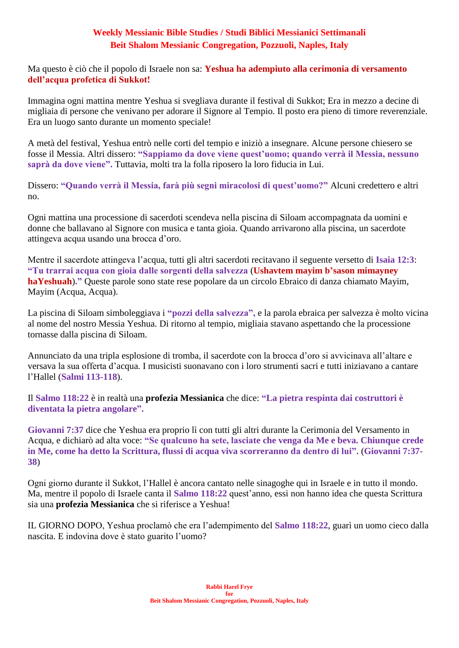Ma questo è ciò che il popolo di Israele non sa: **Yeshua ha adempiuto alla cerimonia di versamento dell'acqua profetica di Sukkot!**

Immagina ogni mattina mentre Yeshua si svegliava durante il festival di Sukkot; Era in mezzo a decine di migliaia di persone che venivano per adorare il Signore al Tempio. Il posto era pieno di timore reverenziale. Era un luogo santo durante un momento speciale!

A metà del festival, Yeshua entrò nelle corti del tempio e iniziò a insegnare. Alcune persone chiesero se fosse il Messia. Altri dissero: **"Sappiamo da dove viene quest'uomo; quando verrà il Messia, nessuno saprà da dove viene".** Tuttavia, molti tra la folla riposero la loro fiducia in Lui.

Dissero: **"Quando verrà il Messia, farà più segni miracolosi di quest'uomo?"** Alcuni credettero e altri no.

Ogni mattina una processione di sacerdoti scendeva nella piscina di Siloam accompagnata da uomini e donne che ballavano al Signore con musica e tanta gioia. Quando arrivarono alla piscina, un sacerdote attingeva acqua usando una brocca d'oro.

Mentre il sacerdote attingeva l'acqua, tutti gli altri sacerdoti recitavano il seguente versetto di **Isaia 12:3**: **"Tu trarrai acqua con gioia dalle sorgenti della salvezza** (**Ushavtem mayim b'sason mimayney haYeshuah**)**."** Queste parole sono state rese popolare da un circolo Ebraico di danza chiamato Mayim, Mayim (Acqua, Acqua).

La piscina di Siloam simboleggiava i **"pozzi della salvezza",** e la parola ebraica per salvezza è molto vicina al nome del nostro Messia Yeshua. Di ritorno al tempio, migliaia stavano aspettando che la processione tornasse dalla piscina di Siloam.

Annunciato da una tripla esplosione di tromba, il sacerdote con la brocca d'oro si avvicinava all'altare e versava la sua offerta d'acqua. I musicisti suonavano con i loro strumenti sacri e tutti iniziavano a cantare l'Hallel (**Salmi 113-118**).

Il **Salmo 118:22** è in realtà una **profezia Messianica** che dice: **"La pietra respinta dai costruttori è diventata la pietra angolare".**

**Giovanni 7:37** dice che Yeshua era proprio lì con tutti gli altri durante la Cerimonia del Versamento in Acqua, e dichiarò ad alta voce: **"Se qualcuno ha sete, lasciate che venga da Me e beva. Chiunque crede in Me, come ha detto la Scrittura, flussi di acqua viva scorreranno da dentro di lui".** (**Giovanni 7:37- 38**)

Ogni giorno durante il Sukkot, l'Hallel è ancora cantato nelle sinagoghe qui in Israele e in tutto il mondo. Ma, mentre il popolo di Israele canta il **Salmo 118:22** quest'anno, essi non hanno idea che questa Scrittura sia una **profezia Messianica** che si riferisce a Yeshua!

IL GIORNO DOPO, Yeshua proclamò che era l'adempimento del **Salmo 118:22**, guarì un uomo cieco dalla nascita. E indovina dove è stato guarito l'uomo?